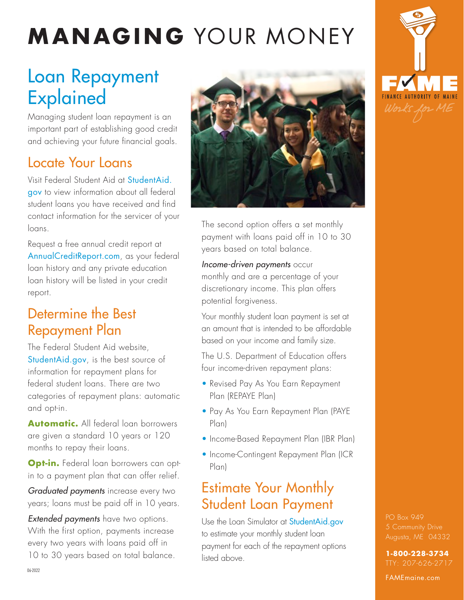# **MANAGING** YOUR MONEY

## Loan Repayment Explained

Managing student loan repayment is an important part of establishing good credit and achieving your future financial goals.

## Locate Your Loans

Visit Federal Student Aid at [StudentAid.](https://studentaid.gov/) [gov](https://studentaid.gov/) to view information about all federal student loans you have received and find contact information for the servicer of your loans.

Request a free annual credit report at [AnnualCreditReport.com](https://www.annualcreditreport.com/index.action), as your federal loan history and any private education loan history will be listed in your credit report.

#### Determine the Best Repayment Plan

The Federal Student Aid website, [StudentAid.gov](https://studentaid.gov/), is the best source of information for repayment plans for federal student loans. There are two categories of repayment plans: automatic and opt-in.

**Automatic.** All federal loan borrowers are given a standard 10 years or 120 months to repay their loans.

**Opt-in.** Federal loan borrowers can optin to a payment plan that can offer relief.

*Graduated payments* increase every two years; loans must be paid off in 10 years.

*Extended payments* have two options. With the first option, payments increase every two years with loans paid off in 10 to 30 years based on total balance.



The second option offers a set monthly payment with loans paid off in 10 to 30 years based on total balance.

*Income-driven payments* occur monthly and are a percentage of your discretionary income. This plan offers potential forgiveness.

Your monthly student loan payment is set at an amount that is intended to be affordable based on your income and family size.

The U.S. Department of Education offers four income-driven repayment plans:

- Revised Pay As You Earn Repayment Plan (REPAYE Plan)
- Pay As You Earn Repayment Plan (PAYE Plan)
- Income-Based Repayment Plan (IBR Plan)
- Income-Contingent Repayment Plan (ICR Plan)

#### Estimate Your Monthly Student Loan Payment

Use the Loan Simulator at [StudentAid.gov](https://studentaid.gov/loan-simulator/) to estimate your monthly student loan payment for each of the repayment options listed above.



PO Box 949

**1-800-228-3734** TTY: 207-626-2717